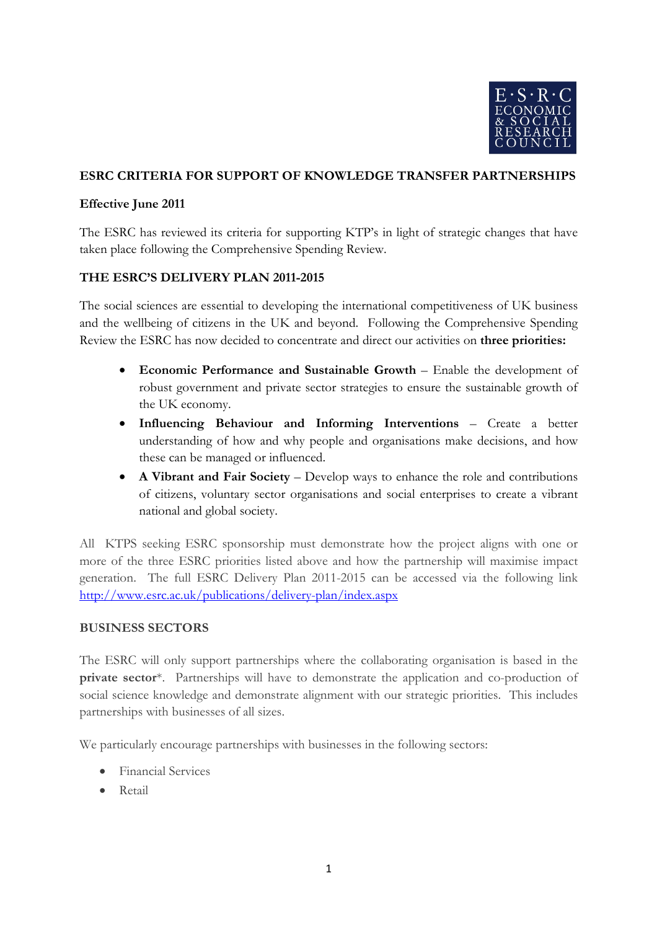

## **ESRC CRITERIA FOR SUPPORT OF KNOWLEDGE TRANSFER PARTNERSHIPS**

## **Effective June 2011**

The ESRC has reviewed its criteria for supporting KTP's in light of strategic changes that have taken place following the Comprehensive Spending Review.

## **THE ESRC'S DELIVERY PLAN 2011-2015**

The social sciences are essential to developing the international competitiveness of UK business and the wellbeing of citizens in the UK and beyond. Following the Comprehensive Spending Review the ESRC has now decided to concentrate and direct our activities on **three priorities:**

- **Economic Performance and Sustainable Growth**  Enable the development of robust government and private sector strategies to ensure the sustainable growth of the UK economy.
- **Influencing Behaviour and Informing Interventions**  Create a better understanding of how and why people and organisations make decisions, and how these can be managed or influenced.
- **A Vibrant and Fair Society** Develop ways to enhance the role and contributions of citizens, voluntary sector organisations and social enterprises to create a vibrant national and global society.

All KTPS seeking ESRC sponsorship must demonstrate how the project aligns with one or more of the three ESRC priorities listed above and how the partnership will maximise impact generation. The full ESRC Delivery Plan 2011-2015 can be accessed via the following link <http://www.esrc.ac.uk/publications/delivery-plan/index.aspx>

#### **BUSINESS SECTORS**

The ESRC will only support partnerships where the collaborating organisation is based in the **private sector**\*. Partnerships will have to demonstrate the application and co-production of social science knowledge and demonstrate alignment with our strategic priorities. This includes partnerships with businesses of all sizes.

We particularly encourage partnerships with businesses in the following sectors:

- Financial Services
- Retail